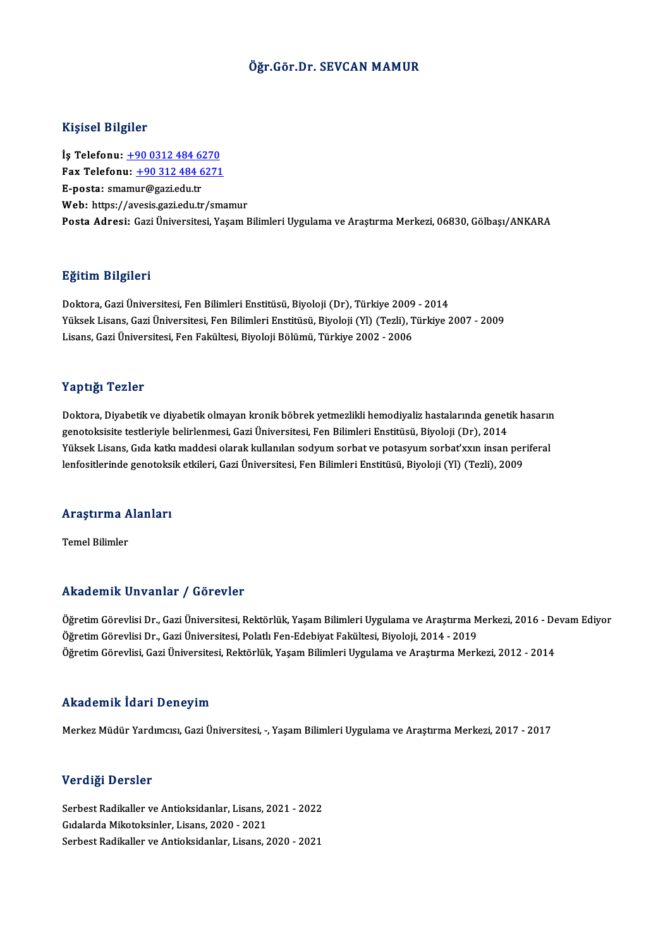#### Öğr.Gör.Dr. SEVCAN MAMUR

#### Kişisel Bilgiler

Kişisel Bilgiler<br>İş Telefonu: <u>+90 0312 484 6270</u><br>Fax Telefonu: 190 312 484 6271 Fax Telefonu:  $\frac{+90\,312\,484\,6271}{E\text{-}posta}$ : smamur@gazi.edu.tr İş Telefonu: <u>+90 0312 484 6.</u><br>Fax Telefonu: <u>+90 312 484 6.</u><br>E-posta: s[m](tel:+90 0312 484 6270)am[ur@gazi.edu.tr](tel:+90 312 484 6271)<br>Web: https://avesis.cazi.edu.tr Web: https://avesis.gazi.edu.tr/smamur Posta Adresi: Gazi Üniversitesi, Yaşam Bilimleri Uygulama ve Araştırma Merkezi, 06830, Gölbaşı/ANKARA

#### Eğitim Bilgileri

<mark>Eğitim Bilgileri</mark><br>Doktora, Gazi Üniversitesi, Fen Bilimleri Enstitüsü, Biyoloji (Dr), Türkiye 2009 - 2014<br>Yüksek Lisans, Gazi Üniversitesi, Fen Bilimleri Enstitüsü, Biyoloji (Vl), (Terli), Türkiye 2 Yüksek Lisans, Gazi Üniversitesi, Fen Bilimleri Enstitüsü, Biyoloji (Yl) (Tezli), Türkiye 2007 - 2009<br>Lisans, Gazi Üniversitesi, Fen Fakültesi, Biyoloji Bölümü, Türkiye 2002 - 2006 Doktora, Gazi Üniversitesi, Fen Bilimleri Enstitüsü, Biyoloji (Dr), Türkiye 2009<br>Yüksek Lisans, Gazi Üniversitesi, Fen Bilimleri Enstitüsü, Biyoloji (Yl) (Tezli), T<br>Lisans, Gazi Üniversitesi, Fen Fakültesi, Biyoloji Bölümü

#### Yaptığı Tezler

Yaptığı Tezler<br>Doktora, Diyabetik ve diyabetik olmayan kronik böbrek yetmezlikli hemodiyaliz hastalarında genetik hasarın<br>seneteksisite testleriyle belirlermesi, Cari Üniyersitesi, Een Bilimleri Enstitüsü, Biyeleji (Dr.), r up ugar rezier<br>Doktora, Diyabetik ve diyabetik olmayan kronik böbrek yetmezlikli hemodiyaliz hastalarında genet<br>genotoksisite testleriyle belirlenmesi, Gazi Üniversitesi, Fen Bilimleri Enstitüsü, Biyoloji (Dr), 2014<br>Vülg Doktora, Diyabetik ve diyabetik olmayan kronik böbrek yetmezlikli hemodiyaliz hastalarında genetik hasarır.<br>genotoksisite testleriyle belirlenmesi, Gazi Üniversitesi, Fen Bilimleri Enstitüsü, Biyoloji (Dr), 2014<br>Yüksek Lis genotoksisite testleriyle belirlenmesi, Gazi Üniversitesi, Fen Bilimleri Enstitüsü, Biyoloji (Dr), 2014<br>Yüksek Lisans, Gıda katkı maddesi olarak kullanılan sodyum sorbat ve potasyum sorbat'xxın insan periferal<br>lenfositleri

### iemosiuermae genowksi<br>Araştırma Alanları <mark>Araştırma A</mark><br>Temel Bilimler

# Akademik Unvanlar / Görevler

Akademik Unvanlar / Görevler<br>Öğretim Görevlisi Dr., Gazi Üniversitesi, Rektörlük, Yaşam Bilimleri Uygulama ve Araştırma Merkezi, 2016 - Devam Ediyor<br>Öğretim Görevlisi Dr. Gazi Üniversitesi, Rektörlük, Yaşam Bilimleri Uygul TIRATEMETIM ON VAITAT 7 TOTOVICI<br>Öğretim Görevlisi Dr., Gazi Üniversitesi, Rektörlük, Yaşam Bilimleri Uygulama ve Araştırma M<br>Öğretim Görevlisi Cazi Üniversitesi, Polatlı Fen-Edebiyat Fakültesi, Biyoloji, 2014 - 2019<br>Öğret Öğretim Görevlisi Dr., Gazi Üniversitesi, Rektörlük, Yaşam Bilimleri Uygulama ve Araştırma Merkezi, 2016 - De<br>Öğretim Görevlisi Dr., Gazi Üniversitesi, Polatlı Fen-Edebiyat Fakültesi, Biyoloji, 2014 - 2019<br>Öğretim Görevlis Öğretim Görevlisi, Gazi Üniversitesi, Rektörlük, Yaşam Bilimleri Uygulama ve Araştırma Merkezi, 2012 - 2014<br>Akademik İdari Deneyim

Merkez Müdür Yardımcısı, Gazi Üniversitesi, -, Yaşam Bilimleri Uygulama ve Araştırma Merkezi, 2017 - 2017

#### Verdiği Dersler

Verdiği Dersler<br>Serbest Radikaller ve Antioksidanlar, Lisans, 2021 - 2022<br>Sidalarda Mikatakainlar, Lisans, 2020, 2021 ver digi 2 erster<br>Serbest Radikaller ve Antioksidanlar, Lisans, 2<br>Gıdalarda Mikotoksinler, Lisans, 2020 - 2021<br>Serbest Badikaller ve Antioksidanlar, Lisans, 2 Gıdalarda Mikotoksinler, Lisans, 2020 - 2021<br>Serbest Radikaller ve Antioksidanlar, Lisans, 2020 - 2021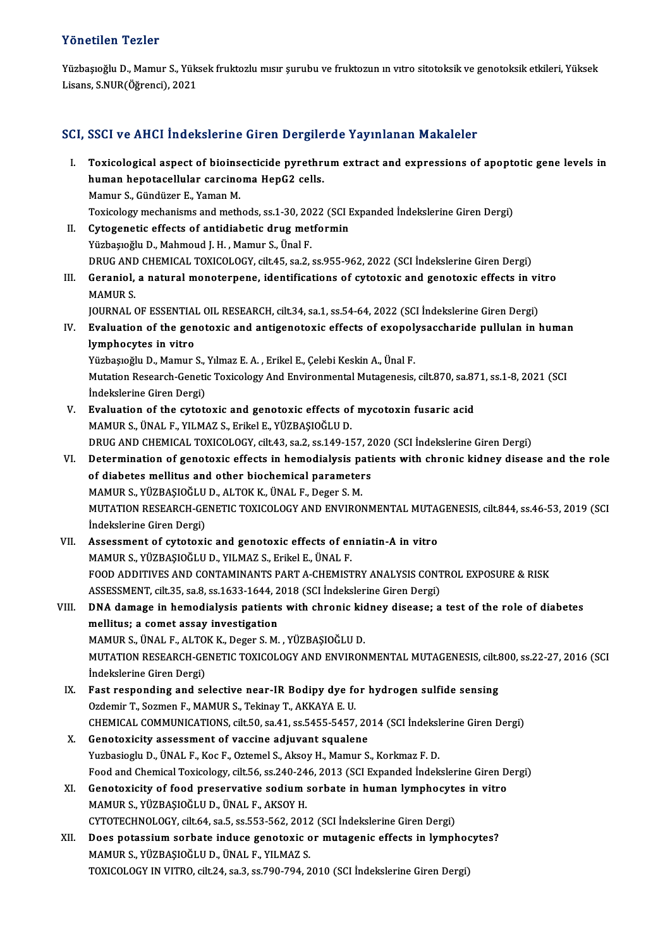#### Yönetilen Tezler

Yönetilen Tezler<br>Yüzbaşıoğlu D., Mamur S., Yüksek fruktozlu mısır şurubu ve fruktozun ın vıtro sitotoksik ve genotoksik etkileri, Yüksek<br>Lisana S.NUP(Öğmansi), 2021 1 Onocnon-1 Oznor<br>Yüzbaşıoğlu D., Mamur S., Yük:<br>Lisans, S.NUR(Öğrenci), 2021

# Lisans, S.NUR(Öğrenci), 2021<br>SCI, SSCI ve AHCI İndekslerine Giren Dergilerde Yayınlanan Makaleler

CI, SSCI ve AHCI Indekslerine Giren Dergilerde Yayınlanan Makaleler<br>I. Toxicological aspect of bioinsecticide pyrethrum extract and expressions of apoptotic gene levels in<br>human banetasellular sarsinema HanC2 sells hour voltinor machdierino an en Borgne<br>Toxicological aspect of bioinsecticide pyrethri<br>human hepotacellular carcinoma HepG2 cells.<br>Mamur S. Gündüzer E. Vaman M. Toxicological aspect of bioins<br>human hepotacellular carcino<br>Mamur S., Gündüzer E., Yaman M.<br>Tovicology mechanisms and meth human hepotacellular carcinoma HepG2 cells.<br>Mamur S., Gündüzer E., Yaman M.<br>Toxicology mechanisms and methods, ss.1-30, 2022 (SCI Expanded İndekslerine Giren Dergi) Mamur S., Gündüzer E., Yaman M.<br>Toxicology mechanisms and methods, ss.1-30, 2022 (SCI I<br>II. Cytogenetic effects of antidiabetic drug metformin<br>Vürbeste<sup>zh:</sup> D. Mahmoud I. H. Mamur S. Ünal E. Toxicology mechanisms and methods, ss.1-30, 20<br>Cytogenetic effects of antidiabetic drug met<br>Yüzbaşıoğlu D., Mahmoud J. H. , Mamur S., Ünal F.<br>PRUC AND CHEMICAL TOYICOLOGY silt 45, ss.2 Yüzbaşıoğlu D., Mahmoud J. H. , Mamur S., Ünal F.<br>DRUG AND CHEMICAL TOXICOLOGY, cilt.45, sa.2, ss.955-962, 2022 (SCI İndekslerine Giren Dergi) Yüzbaşıoğlu D., Mahmoud J. H. , Mamur S., Ünal F.<br>DRUG AND CHEMICAL TOXICOLOGY, cilt.45, sa.2, ss.955-962, 2022 (SCI İndekslerine Giren Dergi)<br>III. Geraniol, a natural monoterpene, identifications of cytotoxic and genotoxi MAMUR S.<br>JOURNAL OF ESSENTIAL OIL RESEARCH, cilt.34, sa.1, ss.54-64, 2022 (SCI İndekslerine Giren Dergi) Geraniol, a natural monoterpene, identifications of cytotoxic and genotoxic effects in vi<br>MAMUR S.<br>JOURNAL OF ESSENTIAL OIL RESEARCH, cilt.34, sa.1, ss.54-64, 2022 (SCI İndekslerine Giren Dergi)<br>Evaluation of the genotovic MAMUR S.<br>JOURNAL OF ESSENTIAL OIL RESEARCH, cilt.34, sa.1, ss.54-64, 2022 (SCI İndekslerine Giren Dergi)<br>IV. Evaluation of the genotoxic and antigenotoxic effects of exopolysaccharide pullulan in human<br>Iumphosytes in vit **JOURNAL OF ESSENTIAL**<br>**Evaluation of the gen<br>lymphocytes in vitro**<br><sup>Vürbociočlu D. Mamur</sup> Evaluation of the genotoxic and antigenotoxic effects of exopoly<br>lymphocytes in vitro<br>Yüzbaşıoğlu D., Mamur S., Yılmaz E. A. , Erikel E., Çelebi Keskin A., Ünal F.<br>Mutation Bessarsh Constis Tavisalagu And Environmental Mut l**ymphocytes in vitro**<br>Yüzbaşıoğlu D., Mamur S., Yılmaz E. A. , Erikel E., Çelebi Keskin A., Ünal F.<br>Mutation Research-Genetic Toxicology And Environmental Mutagenesis, cilt.870, sa.871, ss.1-8, 2021 (SCI<br>İndekslerine Cire Yüzbaşıoğlu D., Mamur S.,<br>Mutation Research-Geneti<br>İndekslerine Giren Dergi)<br>Fyaluation of the sytet Mutation Research-Genetic Toxicology And Environmental Mutagenesis, cilt.870, sa.87<br>
indekslerine Giren Dergi)<br>
V. Evaluation of the cytotoxic and genotoxic effects of mycotoxin fusaric acid<br>
MAMUR S. İNALE VU MAZ S. Erike İndekslerine Giren Dergi)<br>V. Evaluation of the cytotoxic and genotoxic effects of mycotoxin fusaric acid<br>MAMUR S., ÜNAL F., YILMAZ S., Erikel E., YÜZBAŞIOĞLU D. DRUG AND CHEMICAL TOXICOLOGY, cilt.43, sa.2, ss.149-157, 2020 (SCI İndekslerine Giren Dergi) MAMUR S., ÜNAL F., YILMAZ S., Erikel E., YÜZBAŞIOĞLU D.<br>DRUG AND CHEMICAL TOXICOLOGY, cilt.43, sa.2, ss.149-157, 2020 (SCI İndekslerine Giren Dergi)<br>VI. Determination of genotoxic effects in hemodialysis patients with chro DRUG AND CHEMICAL TOXICOLOGY, cilt.43, sa.2, ss.149-157, 2<br>Determination of genotoxic effects in hemodialysis patiof diabetes mellitus and other biochemical parameters<br>MAMUR S, VÜZRASIOČLU D, ALTOK K, ÜNALE, Degen S, M Determination of genotoxic effects in hemodialysis pa<br>of diabetes mellitus and other biochemical parameter<br>MAMUR S., YÜZBAŞIOĞLU D., ALTOK K., ÜNAL F., Deger S. M.<br>MUTATION PESEARCH CENETIC TOYICOLOCY AND ENVIROL of diabetes mellitus and other biochemical parameters<br>MAMUR S., YÜZBAŞIOĞLU D., ALTOK K., ÜNAL F., Deger S. M.<br>MUTATION RESEARCH-GENETIC TOXICOLOGY AND ENVIRONMENTAL MUTAGENESIS, cilt.844, ss.46-53, 2019 (SCI MAMUR S., YÜZBAŞIOĞLU<br>MUTATION RESEARCH-GE<br>İndekslerine Giren Dergi)<br>Assassmant of sutatovi MUTATION RESEARCH-GENETIC TOXICOLOGY AND ENVIRONMENTAL MUTA<br>
indekslerine Giren Dergi)<br>
VII. Assessment of cytotoxic and genotoxic effects of enniatin-A in vitro<br>
MAMID S VÜZPASIQÕLUD VILMAZ S Erikal E ÜNALE İndekslerine Giren Dergi)<br>Assessment of cytotoxic and genotoxic effects of en<br>MAMUR S., YÜZBAŞIOĞLU D., YILMAZ S., Erikel E., ÜNAL F.<br>EQQD ADDITIVES AND CONTAMINANTS BART A CUEMIST Assessment of cytotoxic and genotoxic effects of enniatin-A in vitro<br>MAMUR S., YÜZBAŞIOĞLU D., YILMAZ S., Erikel E., ÜNAL F.<br>FOOD ADDITIVES AND CONTAMINANTS PART A-CHEMISTRY ANALYSIS CONTROL EXPOSURE & RISK<br>ASSESSMENT, cil MAMUR S., YÜZBAŞIOĞLU D., YILMAZ S., Erikel E., ÜNAL F.<br>FOOD ADDITIVES AND CONTAMINANTS PART A-CHEMISTRY ANALYSIS CONT<br>ASSESSMENT, cilt.35, sa.8, ss.1633-1644, 2018 (SCI İndekslerine Giren Dergi)<br>DNA damage in hamadialysis FOOD ADDITIVES AND CONTAMINANTS PART A-CHEMISTRY ANALYSIS CONTROL EXPOSURE & RISK<br>ASSESSMENT, cilt.35, sa.8, ss.1633-1644, 2018 (SCI Indekslerine Giren Dergi)<br>VIII. DNA damage in hemodialysis patients with chronic kidney d ASSESSMENT, cilt.35, sa.8, ss.1633-1644, 2<br>DNA damage in hemodialysis patients<br>mellitus; a comet assay investigation<br>MAMUR S JUNALE ALTOK K. Deger S. M DNA damage in hemodialysis patients with chronic kid<br>mellitus; a comet assay investigation<br>MAMUR S., ÜNAL F., ALTOK K., Deger S. M. , YÜZBAŞIOĞLU D.<br>MUTATION RESEARCH CENETIC TOYICOLOCY AND ENVIRON mellitus; a comet assay investigation<br>MAMUR S., ÜNAL F., ALTOK K., Deger S. M. , YÜZBAŞIOĞLU D.<br>MUTATION RESEARCH-GENETIC TOXICOLOGY AND ENVIRONMENTAL MUTAGENESIS, cilt.800, ss.22-27, 2016 (SCI MAMUR S., ÜNAL F., ALTO<br>MUTATION RESEARCH-GE<br>İndekslerine Giren Dergi)<br>Fast responding and se MUTATION RESEARCH-GENETIC TOXICOLOGY AND ENVIRONMENTAL MUTAGENESIS, cilt.<br>
IX. Fast responding and selective near-IR Bodipy dye for hydrogen sulfide sensing<br>
Ordomir T. Sormon E. MAMIID S. Tokinou T. AKKANA E. II Indekslerine Giren Dergi)<br>Fast responding and selective near-IR Bodipy dye fo<br>Ozdemir T., Sozmen F., MAMUR S., Tekinay T., AKKAYA E. U.<br>CHEMICAL COMMUNICATIONS, silt 50, 82,41, 83,5455, 5457. Fast responding and selective near-IR Bodipy dye for hydrogen sulfide sensing<br>Ozdemir T., Sozmen F., MAMUR S., Tekinay T., AKKAYA E. U.<br>CHEMICAL COMMUNICATIONS, cilt.50, sa.41, ss.5455-5457, 2014 (SCI İndekslerine Giren De Ozdemir T., Sozmen F., MAMUR S., Tekinay T., AKKAYA E. U.<br>CHEMICAL COMMUNICATIONS, cilt.50, sa.41, ss.5455-5457, 2014 (SCI İndekslerine Giren Dergi)<br>X. Genotoxicity assessment of vaccine adjuvant squalene Yuzbasioglu D., ÜNAL F., Koc F., Oztemel S., Aksoy H., Mamur S., Korkmaz F. D. Food and Chemical Toxicology, cilt.56, ss.240-246, 2013 (SCI Expanded İndekslerine Giren Dergi) Yuzbasioglu D., ÜNAL F., Koc F., Oztemel S., Aksoy H., Mamur S., Korkmaz F. D.<br>Food and Chemical Toxicology, cilt.56, ss.240-246, 2013 (SCI Expanded Indekslerine Giren D<br>XI. Genotoxicity of food preservative sodium sorbate MAMUR S., YÜZBAŞIOĞLU D., ÜNAL F., AKSOY H.<br>CYTOTECHNOLOGY, cilt.64, sa.5, ss.553-562, 2012 (SCI İndekslerine Giren Dergi) Genotoxicity of food preservative sodium sorbate in human lymphocyte<br>MAMUR S., YÜZBAŞIOĞLU D., ÜNAL F., AKSOY H.<br>CYTOTECHNOLOGY, cilt.64, sa.5, ss.553-562, 2012 (SCI İndekslerine Giren Dergi)<br>Dess patassium sorbate induse XII. Does potassium sorbate induce genotoxic or mutagenic effects in lymphocytes? MAMURS.,YÜZBAŞIOĞLUD.,ÜNAL F.,YILMAZ S. TOXICOLOGY IN VITRO, cilt.24, sa.3, ss.790-794, 2010 (SCI İndekslerine Giren Dergi)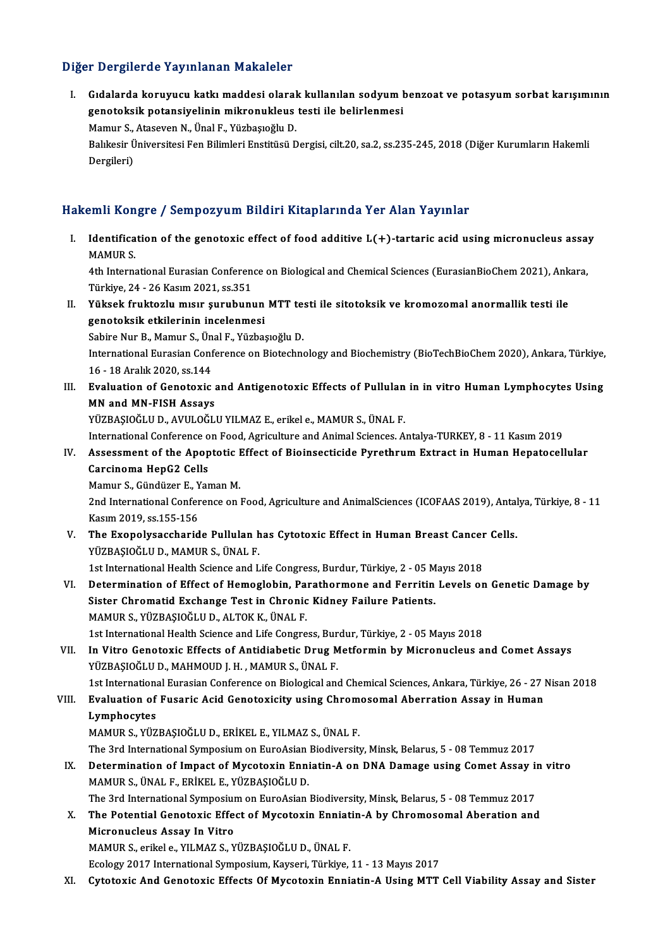#### Diğer Dergilerde Yayınlanan Makaleler

iğer Dergilerde Yayınlanan Makaleler<br>I. Gıdalarda koruyucu katkı maddesi olarak kullanılan sodyum benzoat ve potasyum sorbat karışımının<br>Teneteksik potansiyelinin mikronukleye testi ile belirlenmesi r Bergherde raymmanan makareler<br>Gidalarda koruyucu katkı maddesi olarak kullanılan sodyum l<br>genotoksik potansiyelinin mikronukleus testi ile belirlenmesi Gıdalarda koruyucu katkı maddesi olaral<br>genotoksik potansiyelinin mikronukleus<br>Mamur S., Ataseven N., Ünal F., Yüzbaşıoğlu D.<br>Polikesir Üniversitesi Fen Bilimleri Enstitüsü D

genotoksik potansiyelinin mikronukleus testi ile belirlenmesi<br>Mamur S., Ataseven N., Ünal F., Yüzbaşıoğlu D.<br>Balıkesir Üniversitesi Fen Bilimleri Enstitüsü Dergisi, cilt.20, sa.2, ss.235-245, 2018 (Diğer Kurumların Hakemli Mamur S.,<br>Balıkesir Ü<br>Dergileri)

#### Hakemli Kongre / Sempozyum Bildiri Kitaplarında Yer Alan Yayınlar

akemli Kongre / Sempozyum Bildiri Kitaplarında Yer Alan Yayınlar<br>I. Identification of the genotoxic effect of food additive L(+)-tartaric acid using micronucleus assay MAMURS.<br>Identifica<br>MAMURS. Identification of the genotoxic effect of food additive L(+)-tartaric acid using micronucleus assay<br>MAMUR S.<br>4th International Eurasian Conference on Biological and Chemical Sciences (EurasianBioChem 2021), Ankara,<br>Türkiye

MAMUR S.<br>4th International Eurasian Conference on Biological and Chemical Sciences (EurasianBioChem 2021), Ankara,<br>Türkiye, 24 - 26 Kasım 2021, ss.351 4th International Eurasian Conference on Biological and Chemical Sciences (EurasianBioChem 2021), Ank<br>Türkiye, 24 - 26 Kasım 2021, ss.351<br>II. Yüksek fruktozlu mısır şurubunun MTT testi ile sitotoksik ve kromozomal anormall

- Türkiye, 24 26 Kasım 2021, ss.351<br>Yüksek fruktozlu mısır şurubunun<br>genotoksik etkilerinin incelenmesi<br>Sabire Nur B. Mamur S. Ünal E. Vürbe Yüksek fruktozlu mısır şurubunun MTT te:<br>genotoksik etkilerinin incelenmesi<br>Sabire Nur B., Mamur S., Ünal F., Yüzbaşıoğlu D.<br>International Eurasian Conferense en Biotashne genotoksik etkilerinin incelenmesi<br>Sabire Nur B., Mamur S., Ünal F., Yüzbaşıoğlu D.<br>International Eurasian Conference on Biotechnology and Biochemistry (BioTechBioChem 2020), Ankara, Türkiye,<br>16 - 18 Aralık 2020, ss.144 Sabire Nur B., Mamur S., Ünal F., Yüzbaşıoğlu D. International Eurasian Conference on Biotechnology and Biochemistry (BioTechBioChem 2020), Ankara, Türkiye,<br>16 - 18 Aralık 2020, ss.144<br>III. Evaluation of Genotoxic and Antigenotoxic Effects of Pullulan in in vitro Human L
- 16 18 Aralık 2020, ss.144<br>Evaluation of Genotoxic<br>MN and MN-FISH Assays<br>VÜZPASIOČUUD AVULOČU Evaluation of Genotoxic and Antigenotoxic Effects of Pullulan<br>MN and MN-FISH Assays<br>YÜZBAŞIOĞLU D., AVULOĞLU YILMAZ E., erikel e., MAMUR S., ÜNAL F.<br>International Conference on Food, Agriculture and Animal Sciences, A MN and MN-FISH Assays<br>YÜZBAŞIOĞLU D., AVULOĞLU YILMAZ E., erikel e., MAMUR S., ÜNAL F.<br>International Conference on Food, Agriculture and Animal Sciences. Antalya-TURKEY, 8 - 11 Kasım 2019<br>Assessment of the Apentatis Effect

YÜZBAŞIOĞLU D., AVULOĞLU YILMAZ E., erikel e., MAMUR S., ÜNAL F.<br>International Conference on Food, Agriculture and Animal Sciences. Antalya-TURKEY, 8 - 11 Kasım 2019<br>IV. Assessment of the Apoptotic Effect of Bioinsecticide International Conference o<br>Assessment of the Apop<br>Carcinoma HepG2 Cells<br>Mamur S. Gündüzer E. Van Assessment of the Apoptotic I<br>Carcinoma HepG2 Cells<br>Mamur S., Gündüzer E., Yaman M.<br>2nd International Conference on l

Carcinoma HepG2 Cells<br>Mamur S., Gündüzer E., Yaman M.<br>2nd International Conference on Food, Agriculture and AnimalSciences (ICOFAAS 2019), Antalya, Türkiye, 8 - 11 Mamur S., Gündüzer E., Y<br>2nd International Confer<br>Kasım 2019, ss.155-156<br>The Evenelysascharid 2nd International Conference on Food, Agriculture and AnimalSciences (ICOFAAS 2019), Antal<br>Kasım 2019, ss.155-156<br>V. The Exopolysaccharide Pullulan has Cytotoxic Effect in Human Breast Cancer Cells.<br>VITPASIOČULD, MAMUR S.

Kasım 2019, ss.155-156<br>The Exopolysaccharide Pullulan h<br>YÜZBAŞIOĞLU D., MAMUR S., ÜNAL F.<br>1st International Health Science and L The Exopolysaccharide Pullulan has Cytotoxic Effect in Human Breast Cancer<br>YÜZBAŞIOĞLU D., MAMUR S., ÜNAL F.<br>1st International Health Science and Life Congress, Burdur, Türkiye, 2 - 05 Mayıs 2018<br>Determination of Effect of

- YÜZBAŞIOĞLU D., MAMUR S., ÜNAL F.<br>1st International Health Science and Life Congress, Burdur, Türkiye, 2 05 Mayıs 2018<br>VI. Determination of Effect of Hemoglobin, Parathormone and Ferritin Levels on Genetic Damage by<br> 1st International Health Science and Life Congress, Burdur, Türkiye, 2 - 05 M<br>Determination of Effect of Hemoglobin, Parathormone and Ferritin<br>Sister Chromatid Exchange Test in Chronic Kidney Failure Patients.<br>MAMID S, VÜZ Determination of Effect of Hemoglobin, Pa<br>Sister Chromatid Exchange Test in Chronic<br>MAMUR S., YÜZBAŞIOĞLU D., ALTOK K., ÜNAL F.<br>1st International Health Science and Life Congre Sister Chromatid Exchange Test in Chronic Kidney Failure Patients.<br>MAMUR S., YÜZBAŞIOĞLU D., ALTOK K., ÜNAL F.<br>1st International Health Science and Life Congress, Burdur, Türkiye, 2 - 05 Mayıs 2018<br>In Vitre Constavie Effec
- MAMUR S., YÜZBAŞIOĞLU D., ALTOK K., ÜNAL F.<br>1st International Health Science and Life Congress, Burdur, Türkiye, 2 05 Mayıs 2018<br>VII. 1n Vitro Genotoxic Effects of Antidiabetic Drug Metformin by Micronucleus and Comet As 1st International Health Science and Life Congress, Bur<br>In Vitro Genotoxic Effects of Antidiabetic Drug M<br>YÜZBAŞIOĞLU D., MAHMOUD J. H., MAMUR S., ÜNAL F.<br>1st International Euresian Conference on Biologiael and In Vitro Genotoxic Effects of Antidiabetic Drug Metformin by Micronucleus and Comet Assays<br>YÜZBAŞIOĞLU D., MAHMOUD J. H. , MAMUR S., ÜNAL F.<br>1st International Eurasian Conference on Biological and Chemical Sciences, Ankara

### YÜZBAŞIOĞLU D., MAHMOUD J. H. , MAMUR S., ÜNAL F.<br>1st International Eurasian Conference on Biological and Chemical Sciences, Ankara, Türkiye, 26 - 27 |<br>1. Evaluation of Fusaric Acid Genotoxicity using Chromosomal Aberratio **1st Internation:**<br>Evaluation of<br>Lymphocytes<br>MAMUD S. VÜZ VIII. Evaluation of Fusaric Acid Genotoxicity using Chromosomal Aberration Assay in Human<br>Lymphocytes<br>MAMUR S., YÜZBAŞIOĞLU D., ERİKEL E., YILMAZ S., ÜNAL F.

Lymphocytes<br>MAMUR S., YÜZBAŞIOĞLU D., ERİKEL E., YILMAZ S., ÜNAL F.<br>The 3rd International Symposium on EuroAsian Biodiversity, Minsk, Belarus, 5 - 08 Temmuz 2017<br>Determination of Impact of Mysotovin Enniatin A on DNA Demag

MAMUR S., YÜZBAŞIOĞLU D., ERİKEL E., YILMAZ S., ÜNAL F.<br>The 3rd International Symposium on EuroAsian Biodiversity, Minsk, Belarus, 5 - 08 Temmuz 2017<br>IX. Determination of Impact of Mycotoxin Enniatin-A on DNA Damage using The 3rd International Symposium on EuroAsian<br>Determination of Impact of Mycotoxin Enni<br>MAMUR S., ÜNAL F., ERİKEL E., YÜZBAŞIOĞLU D.<br>The 2rd International Symposium on EuroAsian Determination of Impact of Mycotoxin Enniatin-A on DNA Damage using Comet Assay in<br>MAMUR S., ÜNAL F., ERİKEL E., YÜZBAŞIOĞLU D.<br>The 3rd International Symposium on EuroAsian Biodiversity, Minsk, Belarus, 5 - 08 Temmuz 2017<br> MAMUR S., ÜNAL F., ERİKEL E., YÜZBAŞIOĞLU D.<br>The 3rd International Symposium on EuroAsian Biodiversity, Minsk, Belarus, 5 - 08 Temmuz 2017<br>X. The Potential Genotoxic Effect of Mycotoxin Enniatin-A by Chromosomal Aberation

The 3rd International Symposium<br>The Potential Genotoxic Effe<br>Micronucleus Assay In Vitro<br>MAMIIP Secrikale VILMAZS V Micronucleus Assay In Vitro<br>MAMUR S., erikel e., YILMAZ S., YÜZBAŞIOĞLU D., ÜNAL F.

Ecology 2017 International Symposium, Kayseri, Türkiye, 11 - 13 Mayıs 2017

XI. Cytotoxic And Genotoxic Effects Of Mycotoxin Enniatin-A Using MTT Cell Viability Assay and Sister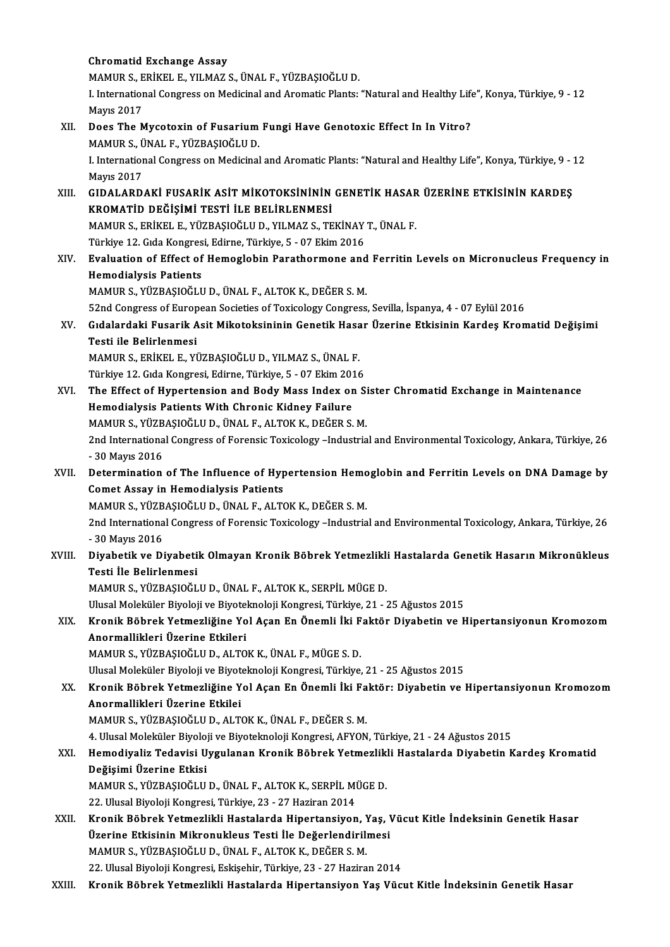|        | <b>Chromatid Exchange Assay</b>                                                                                                     |
|--------|-------------------------------------------------------------------------------------------------------------------------------------|
|        | MAMUR S., ERİKEL E., YILMAZ S., ÜNAL F., YÜZBAŞIOĞLU D.                                                                             |
|        | I. International Congress on Medicinal and Aromatic Plants: "Natural and Healthy Life", Konya, Türkiye, 9 - 12<br><b>Mayıs 2017</b> |
| XII.   | Does The Mycotoxin of Fusarium Fungi Have Genotoxic Effect In In Vitro?                                                             |
|        | MAMUR S., ÜNAL F., YÜZBAŞIOĞLU D.                                                                                                   |
|        | I. International Congress on Medicinal and Aromatic Plants: "Natural and Healthy Life", Konya, Türkiye, 9 - 12<br><b>Mayıs 2017</b> |
| XIII.  | GIDALARDAKİ FUSARİK ASİT MİKOTOKSİNİNİN GENETİK HASAR ÜZERİNE ETKİSİNİN KARDEŞ                                                      |
|        | KROMATİD DEĞİŞİMİ TESTİ İLE BELİRLENMESİ                                                                                            |
|        | MAMUR S., ERİKEL E., YÜZBAŞIOĞLU D., YILMAZ S., TEKİNAY T., ÜNAL F.                                                                 |
|        | Türkiye 12. Gıda Kongresi, Edirne, Türkiye, 5 - 07 Ekim 2016                                                                        |
| XIV.   | Evaluation of Effect of Hemoglobin Parathormone and Ferritin Levels on Micronucleus Frequency in                                    |
|        | <b>Hemodialysis Patients</b>                                                                                                        |
|        | MAMUR S., YÜZBAŞIOĞLU D., ÜNAL F., ALTOK K., DEĞER S. M.                                                                            |
|        | 52nd Congress of European Societies of Toxicology Congress, Sevilla, İspanya, 4 - 07 Eylül 2016                                     |
| XV.    | Gıdalardaki Fusarik Asit Mikotoksininin Genetik Hasar Üzerine Etkisinin Kardeş Kromatid Değişimi                                    |
|        | Testi ile Belirlenmesi                                                                                                              |
|        | MAMUR S., ERİKEL E., YÜZBAŞIOĞLU D., YILMAZ S., ÜNAL F.                                                                             |
|        | Türkiye 12. Gıda Kongresi, Edirne, Türkiye, 5 - 07 Ekim 2016                                                                        |
| XVI.   | The Effect of Hypertension and Body Mass Index on Sister Chromatid Exchange in Maintenance                                          |
|        | Hemodialysis Patients With Chronic Kidney Failure                                                                                   |
|        | MAMUR S., YÜZBAŞIOĞLU D., ÜNAL F., ALTOK K., DEĞER S. M.                                                                            |
|        | 2nd International Congress of Forensic Toxicology -Industrial and Environmental Toxicology, Ankara, Türkiye, 26                     |
|        | - 30 Mayıs 2016                                                                                                                     |
| XVII.  | Determination of The Influence of Hypertension Hemoglobin and Ferritin Levels on DNA Damage by                                      |
|        | <b>Comet Assay in Hemodialysis Patients</b>                                                                                         |
|        | MAMUR S., YÜZBAŞIOĞLU D., ÜNAL F., ALTOK K., DEĞER S. M.                                                                            |
|        | 2nd International Congress of Forensic Toxicology -Industrial and Environmental Toxicology, Ankara, Türkiye, 26                     |
|        | - 30 Mayıs 2016                                                                                                                     |
| XVIII. | Diyabetik ve Diyabetik Olmayan Kronik Böbrek Yetmezlikli Hastalarda Genetik Hasarın Mikronükleus                                    |
|        | Testi İle Belirlenmesi                                                                                                              |
|        | MAMUR S., YÜZBAŞIOĞLU D., ÜNAL F., ALTOK K., SERPİL MÜGE D.                                                                         |
|        | Ulusal Moleküler Biyoloji ve Biyoteknoloji Kongresi, Türkiye, 21 - 25 Ağustos 2015                                                  |
| XIX.   | Kronik Böbrek Yetmezliğine Yol Açan En Önemli İki Faktör Diyabetin ve Hipertansiyonun Kromozom                                      |
|        | Anormallikleri Üzerine Etkileri                                                                                                     |
|        | MAMUR S., YÜZBAŞIOĞLU D., ALTOK K., ÜNAL F., MÜGE S. D.                                                                             |
|        | Ulusal Moleküler Biyoloji ve Biyoteknoloji Kongresi, Türkiye, 21 - 25 Ağustos 2015                                                  |
| XX.    | Kronik Böbrek Yetmezliğine Yol Açan En Önemli İki Faktör: Diyabetin ve Hipertansiyonun Kromozom                                     |
|        | Anormallikleri Üzerine Etkilei                                                                                                      |
|        | MAMUR S., YÜZBAŞIOĞLU D., ALTOK K., ÜNAL F., DEĞER S. M.                                                                            |
|        | 4. Ulusal Moleküler Biyoloji ve Biyoteknoloji Kongresi, AFYON, Türkiye, 21 - 24 Ağustos 2015                                        |
| XXI.   | Hemodiyaliz Tedavisi Uygulanan Kronik Böbrek Yetmezlikli Hastalarda Diyabetin Kardeş Kromatid                                       |
|        | Değişimi Üzerine Etkisi                                                                                                             |
|        | MAMUR S., YÜZBAŞIOĞLU D., ÜNAL F., ALTOK K., SERPİL MÜGE D.                                                                         |
|        | 22. Ulusal Biyoloji Kongresi, Türkiye, 23 - 27 Haziran 2014                                                                         |
| XXII.  | Kronik Böbrek Yetmezlikli Hastalarda Hipertansiyon, Yaş, Vücut Kitle İndeksinin Genetik Hasar                                       |
|        | Üzerine Etkisinin Mikronukleus Testi İle Değerlendirilmesi                                                                          |
|        | MAMUR S., YÜZBAŞIOĞLU D., ÜNAL F., ALTOK K., DEĞER S. M.                                                                            |
|        | 22. Ulusal Biyoloji Kongresi, Eskişehir, Türkiye, 23 - 27 Haziran 2014                                                              |
| XXIII. | Kronik Böbrek Yetmezlikli Hastalarda Hipertansiyon Yaş Vücut Kitle İndeksinin Genetik Hasar                                         |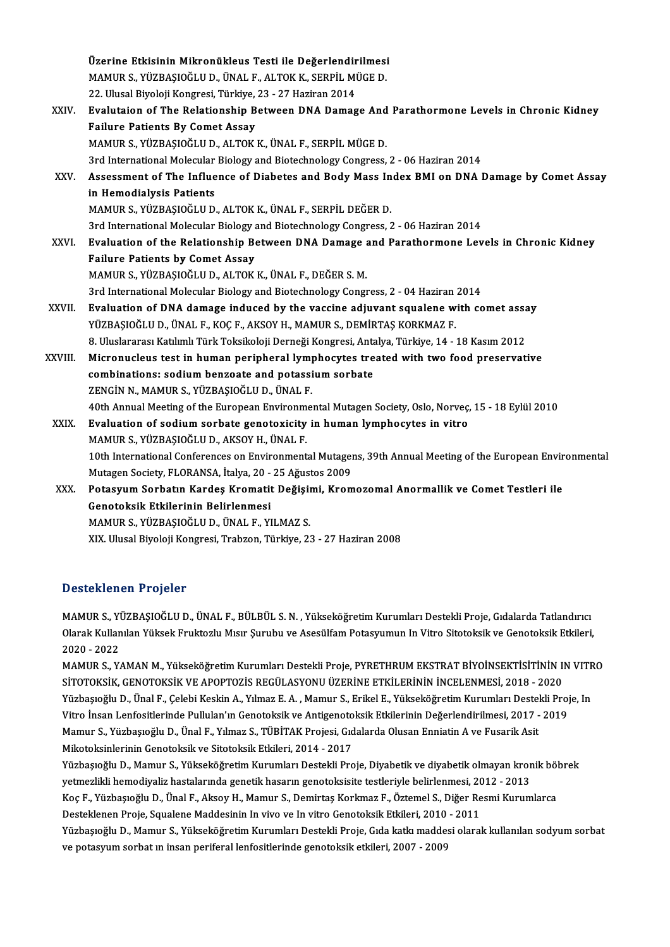|         | Üzerine Etkisinin Mikronükleus Testi ile Değerlendirilmesi                                                  |
|---------|-------------------------------------------------------------------------------------------------------------|
|         | MAMUR S., YÜZBAŞIOĞLU D., ÜNAL F., ALTOK K., SERPİL MÜGE D.                                                 |
|         | 22. Ulusal Biyoloji Kongresi, Türkiye, 23 - 27 Haziran 2014                                                 |
| XXIV.   | Evalutaion of The Relationship Between DNA Damage And Parathormone Levels in Chronic Kidney                 |
|         | <b>Failure Patients By Comet Assay</b>                                                                      |
|         | MAMUR S., YÜZBAŞIOĞLU D., ALTOK K., ÜNAL F., SERPİL MÜGE D.                                                 |
|         | 3rd International Molecular Biology and Biotechnology Congress, 2 - 06 Haziran 2014                         |
| XXV.    | Assessment of The Influence of Diabetes and Body Mass Index BMI on DNA Damage by Comet Assay                |
|         | in Hemodialysis Patients                                                                                    |
|         | MAMUR S., YÜZBAŞIOĞLU D., ALTOK K., ÜNAL F., SERPİL DEĞER D.                                                |
|         | 3rd International Molecular Biology and Biotechnology Congress, 2 - 06 Haziran 2014                         |
| XXVI.   | Evaluation of the Relationship Between DNA Damage and Parathormone Levels in Chronic Kidney                 |
|         | <b>Failure Patients by Comet Assay</b>                                                                      |
|         | MAMUR S., YÜZBAŞIOĞLU D., ALTOK K., ÜNAL F., DEĞER S. M.                                                    |
|         | 3rd International Molecular Biology and Biotechnology Congress, 2 - 04 Haziran 2014                         |
| XXVII.  | Evaluation of DNA damage induced by the vaccine adjuvant squalene with comet assay                          |
|         | YÜZBAŞIOĞLU D., ÜNAL F., KOÇ F., AKSOY H., MAMUR S., DEMİRTAŞ KORKMAZ F.                                    |
|         | 8. Uluslararası Katılımlı Türk Toksikoloji Derneği Kongresi, Antalya, Türkiye, 14 - 18 Kasım 2012           |
| XXVIII. | Micronucleus test in human peripheral lymphocytes treated with two food preservative                        |
|         | combinations: sodium benzoate and potassium sorbate                                                         |
|         | ZENGİN N., MAMUR S., YÜZBAŞIOĞLU D., ÜNAL F.                                                                |
|         | 40th Annual Meeting of the European Environmental Mutagen Society, Oslo, Norveç, 15 - 18 Eylül 2010         |
| XXIX.   | Evaluation of sodium sorbate genotoxicity in human lymphocytes in vitro                                     |
|         | MAMUR S., YÜZBAŞIOĞLU D., AKSOY H., ÜNAL F.                                                                 |
|         | 10th International Conferences on Environmental Mutagens, 39th Annual Meeting of the European Environmental |
|         | Mutagen Society, FLORANSA, İtalya, 20 - 25 Ağustos 2009                                                     |
| XXX.    | Potasyum Sorbatın Kardeş Kromatit Değişimi, Kromozomal Anormallik ve Comet Testleri ile                     |
|         | Genotoksik Etkilerinin Belirlenmesi                                                                         |
|         | MAMUR S., YÜZBAŞIOĞLU D., ÜNAL F., YILMAZ S.                                                                |
|         | XIX. Ulusal Biyoloji Kongresi, Trabzon, Türkiye, 23 - 27 Haziran 2008                                       |
|         |                                                                                                             |

### <sub>AIA. Ulusal Biyoloji Ko.</sub><br>Desteklenen Projeler

Desteklenen Projeler<br>MAMUR S., YÜZBAŞIOĞLU D., ÜNAL F., BÜLBÜL S.N. , Yükseköğretim Kurumları Destekli Proje, Gıdalarda Tatlandırıcı<br>Qlarak Kullanılan Vülvelt Emilteslu Muur Sumibu ve Assaülfam Petesuumun In Vitre Siteteks D'estektenen'n Yeyeser<br>MAMUR S., YÜZBAŞIOĞLU D., ÜNAL F., BÜLBÜL S. N. , Yükseköğretim Kurumları Destekli Proje, Gıdalarda Tatlandırıc<br>Olarak Kullanılan Yüksek Fruktozlu Mısır Şurubu ve Asesülfam Potasyumun In Vitro Sitoto MAMUR S., Y<mark>i</mark><br>Olarak Kullan<br>2020 - 2022<br>MAMUR S. Y Olarak Kullanılan Yüksek Fruktozlu Mısır Şurubu ve Asesülfam Potasyumun In Vitro Sitotoksik ve Genotoksik Etkileri,<br>2020 - 2022<br>MAMUR S., YAMAN M., Yükseköğretim Kurumları Destekli Proje, PYRETHRUM EKSTRAT BİYOİNSEKTİSİTİN

SİTOTOKSİK,GENOTOKSİKVEAPOPTOZİSREGÜLASYONUÜZERİNEETKİLERİNİNİNCELENMESİ,2018 -2020 MAMUR S., YAMAN M., Yükseköğretim Kurumları Destekli Proje, PYRETHRUM EKSTRAT BİYOİNSEKTİSİTİNİN IN VITR<br>SİTOTOKSİK, GENOTOKSİK VE APOPTOZİS REGÜLASYONU ÜZERİNE ETKİLERİNİN İNCELENMESİ, 2018 - 2020<br>Yüzbaşıoğlu D., Ünal F., SİTOTOKSİK, GENOTOKSİK VE APOPTOZİS REGÜLASYONU ÜZERİNE ETKİLERİNİN İNCELENMESİ, 2018 - 2020<br>Yüzbaşıoğlu D., Ünal F., Çelebi Keskin A., Yılmaz E. A. , Mamur S., Erikel E., Yükseköğretim Kurumları Destekli Proj<br>Vitro İnsan Yüzbaşıoğlu D., Ünal F., Çelebi Keskin A., Yılmaz E. A. , Mamur S., Erikel E., Yükseköğretim Kurumları Destel<br>Vitro İnsan Lenfositlerinde Pullulan'ın Genotoksik ve Antigenotoksik Etkilerinin Değerlendirilmesi, 2017 -<br>Mamur Vitro İnsan Lenfositlerinde Pullulan'ın Genotoksik ve Antigenotoksik Etkilerinin Değerlendirilmesi, 2017 - 2019<br>Mamur S., Yüzbaşıoğlu D., Ünal F., Yılmaz S., TÜBİTAK Projesi, Gıdalarda Olusan Enniatin A ve Fusarik Asit<br>Mik

Yüzbaşıoğlu D., Mamur S., Yükseköğretim Kurumları Destekli Proje, Diyabetik ve diyabetik olmayan kronik böbrek yetmezlikli hemodiyaliz hastalarında genetik hasarın genotoksisite testleriyle belirlenmesi, 2012 - 2013 Yüzbaşıoğlu D., Mamur S., Yükseköğretim Kurumları Destekli Proje, Diyabetik ve diyabetik olmayan kronik böl<br>yetmezlikli hemodiyaliz hastalarında genetik hasarın genotoksisite testleriyle belirlenmesi, 2012 - 2013<br>Koç F., Y yetmezlikli hemodiyaliz hastalarında genetik hasarın genotoksisite testleriyle belirlenmesi, 20<br>Koç F., Yüzbaşıoğlu D., Ünal F., Aksoy H., Mamur S., Demirtaş Korkmaz F., Öztemel S., Diğer Re<br>Desteklenen Proje, Squalene Mad Desteklenen Proje, Squalene Maddesinin In vivo ve In vitro Genotoksik Etkileri, 2010 - 2011<br>Yüzbaşıoğlu D., Mamur S., Yükseköğretim Kurumları Destekli Proje, Gıda katkı maddesi olarak kullanılan sodyum sorbat ve potasyum sorbat ın insan periferal lenfositlerinde genotoksik etkileri, 2007 - 2009